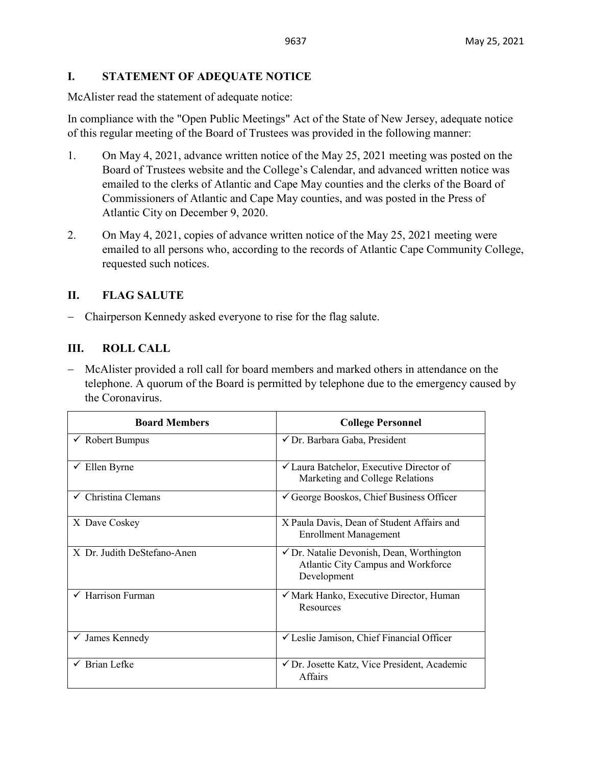## **I. STATEMENT OF ADEQUATE NOTICE**

McAlister read the statement of adequate notice:

In compliance with the "Open Public Meetings" Act of the State of New Jersey, adequate notice of this regular meeting of the Board of Trustees was provided in the following manner:

- 1. On May 4, 2021, advance written notice of the May 25, 2021 meeting was posted on the Board of Trustees website and the College's Calendar, and advanced written notice was emailed to the clerks of Atlantic and Cape May counties and the clerks of the Board of Commissioners of Atlantic and Cape May counties, and was posted in the Press of Atlantic City on December 9, 2020.
- 2. On May 4, 2021, copies of advance written notice of the May 25, 2021 meeting were emailed to all persons who, according to the records of Atlantic Cape Community College, requested such notices.

## **II. FLAG SALUTE**

− Chairperson Kennedy asked everyone to rise for the flag salute.

## **III. ROLL CALL**

− McAlister provided a roll call for board members and marked others in attendance on the telephone. A quorum of the Board is permitted by telephone due to the emergency caused by the Coronavirus.

| <b>Board Members</b>           | <b>College Personnel</b>                                                                                  |  |  |
|--------------------------------|-----------------------------------------------------------------------------------------------------------|--|--|
| $\checkmark$ Robert Bumpus     | √ Dr. Barbara Gaba, President                                                                             |  |  |
| Ellen Byrne                    | ✓ Laura Batchelor, Executive Director of<br>Marketing and College Relations                               |  |  |
| $\checkmark$ Christina Clemans | $\checkmark$ George Booskos, Chief Business Officer                                                       |  |  |
| X Dave Coskey                  | X Paula Davis, Dean of Student Affairs and<br><b>Enrollment Management</b>                                |  |  |
| X Dr. Judith DeStefano-Anen    | $\checkmark$ Dr. Natalie Devonish, Dean, Worthington<br>Atlantic City Campus and Workforce<br>Development |  |  |
| $\checkmark$ Harrison Furman   | √ Mark Hanko, Executive Director, Human<br>Resources                                                      |  |  |
| James Kennedy                  | $\checkmark$ Leslie Jamison, Chief Financial Officer                                                      |  |  |
| Brian Lefke                    | ✔ Dr. Josette Katz, Vice President, Academic<br>Affairs                                                   |  |  |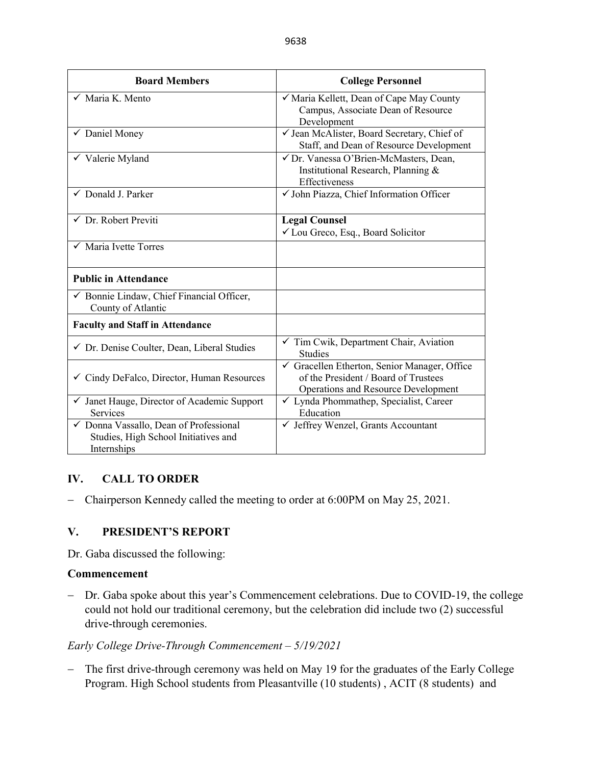| <b>Board Members</b>                                                                          | <b>College Personnel</b>                                                                                                               |  |  |
|-----------------------------------------------------------------------------------------------|----------------------------------------------------------------------------------------------------------------------------------------|--|--|
| $\checkmark$ Maria K. Mento                                                                   | √ Maria Kellett, Dean of Cape May County<br>Campus, Associate Dean of Resource<br>Development                                          |  |  |
| $\checkmark$ Daniel Money                                                                     | √ Jean McAlister, Board Secretary, Chief of<br>Staff, and Dean of Resource Development                                                 |  |  |
| $\checkmark$ Valerie Myland                                                                   | √ Dr. Vanessa O'Brien-McMasters, Dean,<br>Institutional Research, Planning &<br>Effectiveness                                          |  |  |
| $\checkmark$ Donald J. Parker                                                                 | V John Piazza, Chief Information Officer                                                                                               |  |  |
| $\checkmark$ Dr. Robert Previti                                                               | <b>Legal Counsel</b><br>√ Lou Greco, Esq., Board Solicitor                                                                             |  |  |
| $\checkmark$ Maria Ivette Torres                                                              |                                                                                                                                        |  |  |
| <b>Public in Attendance</b>                                                                   |                                                                                                                                        |  |  |
| ✔ Bonnie Lindaw, Chief Financial Officer,<br>County of Atlantic                               |                                                                                                                                        |  |  |
| <b>Faculty and Staff in Attendance</b>                                                        |                                                                                                                                        |  |  |
| ✓ Dr. Denise Coulter, Dean, Liberal Studies                                                   | √ Tim Cwik, Department Chair, Aviation<br><b>Studies</b>                                                                               |  |  |
| $\checkmark$ Cindy DeFalco, Director, Human Resources                                         | $\checkmark$ Gracellen Etherton, Senior Manager, Office<br>of the President / Board of Trustees<br>Operations and Resource Development |  |  |
| ✓ Janet Hauge, Director of Academic Support<br><b>Services</b>                                | √ Lynda Phommathep, Specialist, Career<br>Education                                                                                    |  |  |
| √ Donna Vassallo, Dean of Professional<br>Studies, High School Initiatives and<br>Internships | ✓ Jeffrey Wenzel, Grants Accountant                                                                                                    |  |  |

## **IV. CALL TO ORDER**

− Chairperson Kennedy called the meeting to order at 6:00PM on May 25, 2021.

## **V. PRESIDENT'S REPORT**

Dr. Gaba discussed the following:

## **Commencement**

− Dr. Gaba spoke about this year's Commencement celebrations. Due to COVID-19, the college could not hold our traditional ceremony, but the celebration did include two (2) successful drive-through ceremonies.

## *Early College Drive-Through Commencement – 5/19/2021*

− The first drive-through ceremony was held on May 19 for the graduates of the Early College Program. High School students from Pleasantville (10 students) , ACIT (8 students) and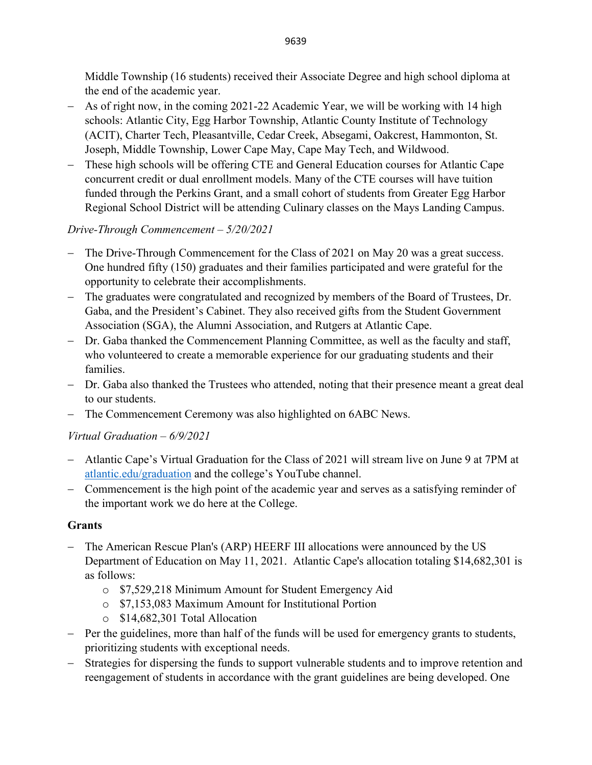Middle Township (16 students) received their Associate Degree and high school diploma at the end of the academic year.

- As of right now, in the coming 2021-22 Academic Year, we will be working with 14 high schools: Atlantic City, Egg Harbor Township, Atlantic County Institute of Technology (ACIT), Charter Tech, Pleasantville, Cedar Creek, Absegami, Oakcrest, Hammonton, St. Joseph, Middle Township, Lower Cape May, Cape May Tech, and Wildwood.
- These high schools will be offering CTE and General Education courses for Atlantic Cape concurrent credit or dual enrollment models. Many of the CTE courses will have tuition funded through the Perkins Grant, and a small cohort of students from Greater Egg Harbor Regional School District will be attending Culinary classes on the Mays Landing Campus.

# *Drive-Through Commencement – 5/20/2021*

- The Drive-Through Commencement for the Class of 2021 on May 20 was a great success. One hundred fifty (150) graduates and their families participated and were grateful for the opportunity to celebrate their accomplishments.
- The graduates were congratulated and recognized by members of the Board of Trustees, Dr. Gaba, and the President's Cabinet. They also received gifts from the Student Government Association (SGA), the Alumni Association, and Rutgers at Atlantic Cape.
- − Dr. Gaba thanked the Commencement Planning Committee, as well as the faculty and staff, who volunteered to create a memorable experience for our graduating students and their families.
- − Dr. Gaba also thanked the Trustees who attended, noting that their presence meant a great deal to our students.
- − The Commencement Ceremony was also highlighted on 6ABC News.

# *Virtual Graduation – 6/9/2021*

- − Atlantic Cape's Virtual Graduation for the Class of 2021 will stream live on June 9 at 7PM at [atlantic.edu/graduation](http://www.atlantic.edu/graduation) and the college's YouTube channel.
- − Commencement is the high point of the academic year and serves as a satisfying reminder of the important work we do here at the College.

## **Grants**

- − The American Rescue Plan's (ARP) HEERF III allocations were announced by the US Department of Education on May 11, 2021. Atlantic Cape's allocation totaling \$14,682,301 is as follows:
	- o \$7,529,218 Minimum Amount for Student Emergency Aid
	- o \$7,153,083 Maximum Amount for Institutional Portion
	- o \$14,682,301 Total Allocation
- − Per the guidelines, more than half of the funds will be used for emergency grants to students, prioritizing students with exceptional needs.
- − Strategies for dispersing the funds to support vulnerable students and to improve retention and reengagement of students in accordance with the grant guidelines are being developed. One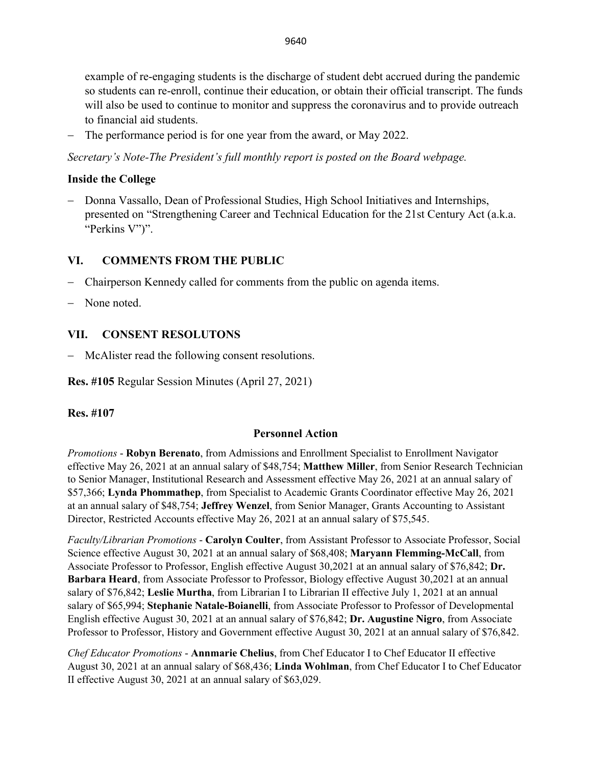example of re-engaging students is the discharge of student debt accrued during the pandemic so students can re-enroll, continue their education, or obtain their official transcript. The funds will also be used to continue to monitor and suppress the coronavirus and to provide outreach to financial aid students.

− The performance period is for one year from the award, or May 2022.

*Secretary's Note-The President's full monthly report is posted on the Board webpage.* 

# **Inside the College**

− Donna Vassallo, Dean of Professional Studies, High School Initiatives and Internships, presented on "Strengthening Career and Technical Education for the 21st Century Act (a.k.a. "Perkins V")".

# **VI. COMMENTS FROM THE PUBLIC**

- − Chairperson Kennedy called for comments from the public on agenda items.
- None noted.

# **VII. CONSENT RESOLUTONS**

− McAlister read the following consent resolutions.

**Res. #105** Regular Session Minutes (April 27, 2021)

## **Res. #107**

## **Personnel Action**

*Promotions* - **Robyn Berenato**, from Admissions and Enrollment Specialist to Enrollment Navigator effective May 26, 2021 at an annual salary of \$48,754; **Matthew Miller**, from Senior Research Technician to Senior Manager, Institutional Research and Assessment effective May 26, 2021 at an annual salary of \$57,366; **Lynda Phommathep**, from Specialist to Academic Grants Coordinator effective May 26, 2021 at an annual salary of \$48,754; **Jeffrey Wenzel**, from Senior Manager, Grants Accounting to Assistant Director, Restricted Accounts effective May 26, 2021 at an annual salary of \$75,545.

*Faculty/Librarian Promotions* - **Carolyn Coulter**, from Assistant Professor to Associate Professor, Social Science effective August 30, 2021 at an annual salary of \$68,408; **Maryann Flemming-McCall**, from Associate Professor to Professor, English effective August 30,2021 at an annual salary of \$76,842; **Dr. Barbara Heard**, from Associate Professor to Professor, Biology effective August 30,2021 at an annual salary of \$76,842; **Leslie Murtha**, from Librarian I to Librarian II effective July 1, 2021 at an annual salary of \$65,994; **Stephanie Natale-Boianelli**, from Associate Professor to Professor of Developmental English effective August 30, 2021 at an annual salary of \$76,842; **Dr. Augustine Nigro**, from Associate Professor to Professor, History and Government effective August 30, 2021 at an annual salary of \$76,842.

*Chef Educator Promotions* - **Annmarie Chelius**, from Chef Educator I to Chef Educator II effective August 30, 2021 at an annual salary of \$68,436; **Linda Wohlman**, from Chef Educator I to Chef Educator II effective August 30, 2021 at an annual salary of \$63,029.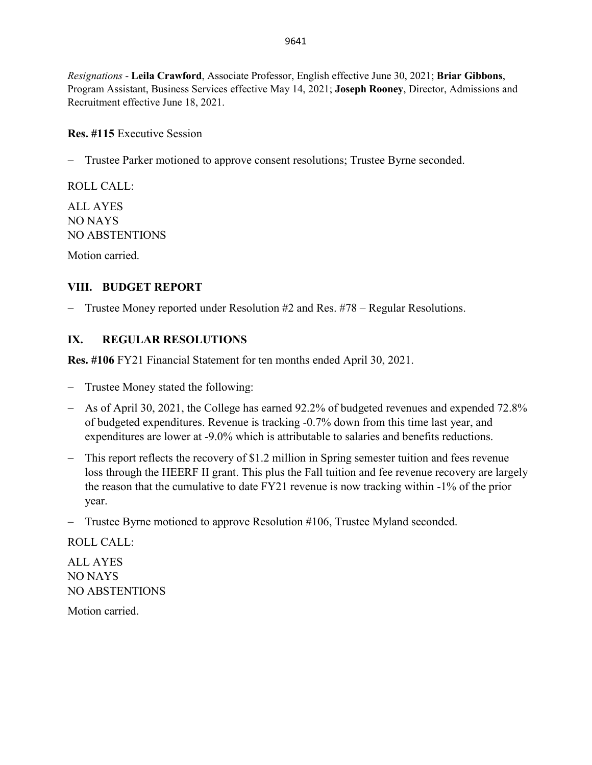*Resignations* - **Leila Crawford**, Associate Professor, English effective June 30, 2021; **Briar Gibbons**, Program Assistant, Business Services effective May 14, 2021; **Joseph Rooney**, Director, Admissions and Recruitment effective June 18, 2021.

**Res. #115** Executive Session

− Trustee Parker motioned to approve consent resolutions; Trustee Byrne seconded.

ROLL CALL:

ALL AYES NO NAYS NO ABSTENTIONS

Motion carried.

# **VIII. BUDGET REPORT**

− Trustee Money reported under Resolution #2 and Res. #78 – Regular Resolutions.

# **IX. REGULAR RESOLUTIONS**

**Res. #106** FY21 Financial Statement for ten months ended April 30, 2021.

- − Trustee Money stated the following:
- − As of April 30, 2021, the College has earned 92.2% of budgeted revenues and expended 72.8% of budgeted expenditures. Revenue is tracking -0.7% down from this time last year, and expenditures are lower at -9.0% which is attributable to salaries and benefits reductions.
- This report reflects the recovery of \$1.2 million in Spring semester tuition and fees revenue loss through the HEERF II grant. This plus the Fall tuition and fee revenue recovery are largely the reason that the cumulative to date FY21 revenue is now tracking within -1% of the prior year.
- − Trustee Byrne motioned to approve Resolution #106, Trustee Myland seconded.

ROLL CALL:

ALL AYES NO NAYS NO ABSTENTIONS

Motion carried.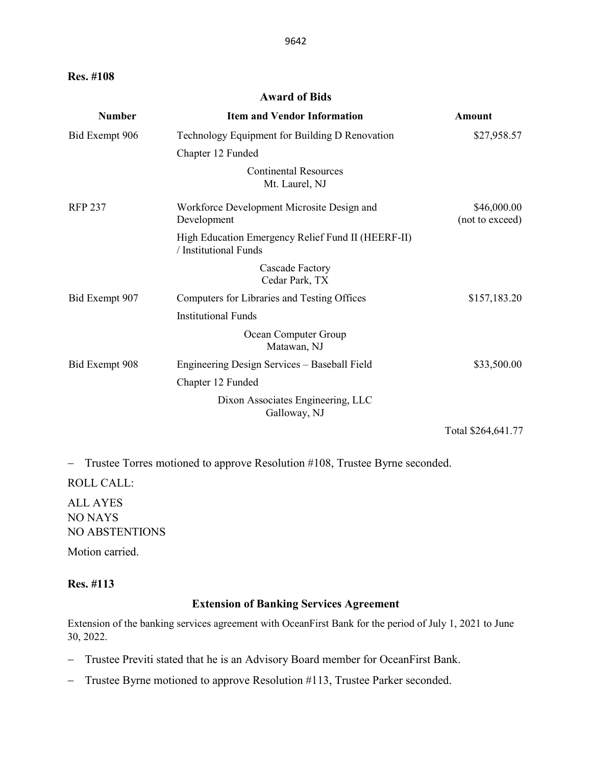**Res. #108** 

#### **Award of Bids**

| <b>Number</b>  | <b>Item and Vendor Information</b>                                          | <b>Amount</b>                  |
|----------------|-----------------------------------------------------------------------------|--------------------------------|
| Bid Exempt 906 | Technology Equipment for Building D Renovation                              | \$27,958.57                    |
|                | Chapter 12 Funded                                                           |                                |
|                | <b>Continental Resources</b><br>Mt. Laurel, NJ                              |                                |
| <b>RFP 237</b> | Workforce Development Microsite Design and<br>Development                   | \$46,000.00<br>(not to exceed) |
|                | High Education Emergency Relief Fund II (HEERF-II)<br>/ Institutional Funds |                                |
|                | Cascade Factory<br>Cedar Park, TX                                           |                                |
| Bid Exempt 907 | Computers for Libraries and Testing Offices                                 | \$157,183.20                   |
|                | <b>Institutional Funds</b>                                                  |                                |
|                | Ocean Computer Group<br>Matawan, NJ                                         |                                |
| Bid Exempt 908 | Engineering Design Services - Baseball Field                                | \$33,500.00                    |
|                | Chapter 12 Funded                                                           |                                |
|                | Dixon Associates Engineering, LLC<br>Galloway, NJ                           |                                |
|                |                                                                             | Total \$264,641.77             |

− Trustee Torres motioned to approve Resolution #108, Trustee Byrne seconded.

ROLL CALL:

ALL AYES NO NAYS NO ABSTENTIONS

Motion carried.

# **Res. #113**

# **Extension of Banking Services Agreement**

Extension of the banking services agreement with OceanFirst Bank for the period of July 1, 2021 to June 30, 2022.

- − Trustee Previti stated that he is an Advisory Board member for OceanFirst Bank.
- − Trustee Byrne motioned to approve Resolution #113, Trustee Parker seconded.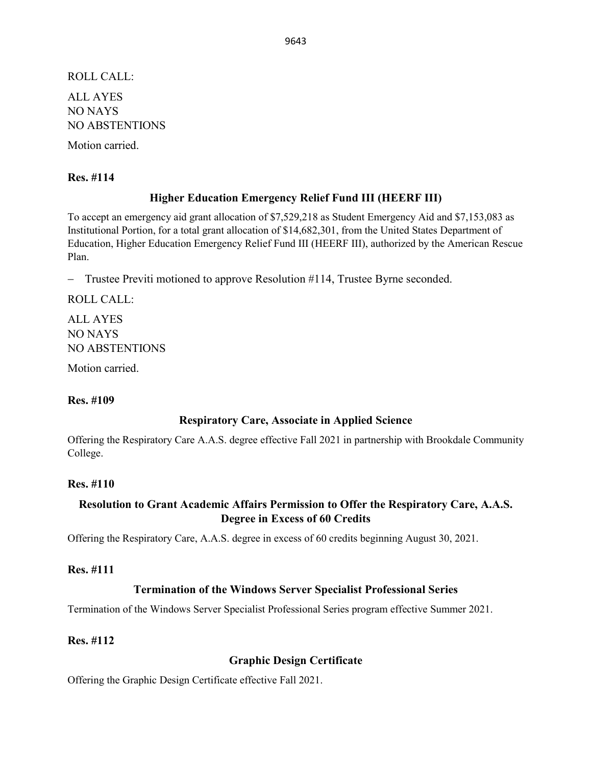ROLL CALL: ALL AYES NO NAYS NO ABSTENTIONS

Motion carried.

#### **Res. #114**

## **Higher Education Emergency Relief Fund III (HEERF III)**

To accept an emergency aid grant allocation of \$7,529,218 as Student Emergency Aid and \$7,153,083 as Institutional Portion, for a total grant allocation of \$14,682,301, from the United States Department of Education, Higher Education Emergency Relief Fund III (HEERF III), authorized by the American Rescue Plan.

− Trustee Previti motioned to approve Resolution #114, Trustee Byrne seconded.

ROLL CALL:

ALL AYES NO NAYS NO ABSTENTIONS

Motion carried.

#### **Res. #109**

#### **Respiratory Care, Associate in Applied Science**

Offering the Respiratory Care A.A.S. degree effective Fall 2021 in partnership with Brookdale Community College.

### **Res. #110**

## **Resolution to Grant Academic Affairs Permission to Offer the Respiratory Care, A.A.S. Degree in Excess of 60 Credits**

Offering the Respiratory Care, A.A.S. degree in excess of 60 credits beginning August 30, 2021.

#### **Res. #111**

### **Termination of the Windows Server Specialist Professional Series**

Termination of the Windows Server Specialist Professional Series program effective Summer 2021.

### **Res. #112**

### **Graphic Design Certificate**

Offering the Graphic Design Certificate effective Fall 2021.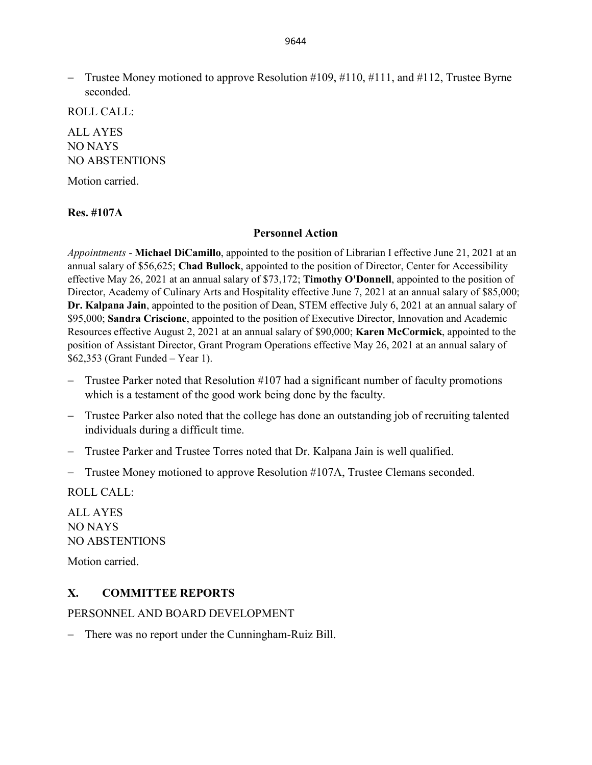− Trustee Money motioned to approve Resolution #109, #110, #111, and #112, Trustee Byrne seconded.

ROLL CALL:

ALL AYES NO NAYS NO ABSTENTIONS

Motion carried.

## **Res. #107A**

## **Personnel Action**

*Appointments* - **Michael DiCamillo**, appointed to the position of Librarian I effective June 21, 2021 at an annual salary of \$56,625; **Chad Bullock**, appointed to the position of Director, Center for Accessibility effective May 26, 2021 at an annual salary of \$73,172; **Timothy O'Donnell**, appointed to the position of Director, Academy of Culinary Arts and Hospitality effective June 7, 2021 at an annual salary of \$85,000; **Dr. Kalpana Jain**, appointed to the position of Dean, STEM effective July 6, 2021 at an annual salary of \$95,000; **Sandra Criscione**, appointed to the position of Executive Director, Innovation and Academic Resources effective August 2, 2021 at an annual salary of \$90,000; **Karen McCormick**, appointed to the position of Assistant Director, Grant Program Operations effective May 26, 2021 at an annual salary of \$62,353 (Grant Funded – Year 1).

- − Trustee Parker noted that Resolution #107 had a significant number of faculty promotions which is a testament of the good work being done by the faculty.
- − Trustee Parker also noted that the college has done an outstanding job of recruiting talented individuals during a difficult time.
- − Trustee Parker and Trustee Torres noted that Dr. Kalpana Jain is well qualified.
- − Trustee Money motioned to approve Resolution #107A, Trustee Clemans seconded.

ROLL CALL:

ALL AYES NO NAYS NO ABSTENTIONS

Motion carried.

## **X. COMMITTEE REPORTS**

## PERSONNEL AND BOARD DEVELOPMENT

There was no report under the Cunningham-Ruiz Bill.